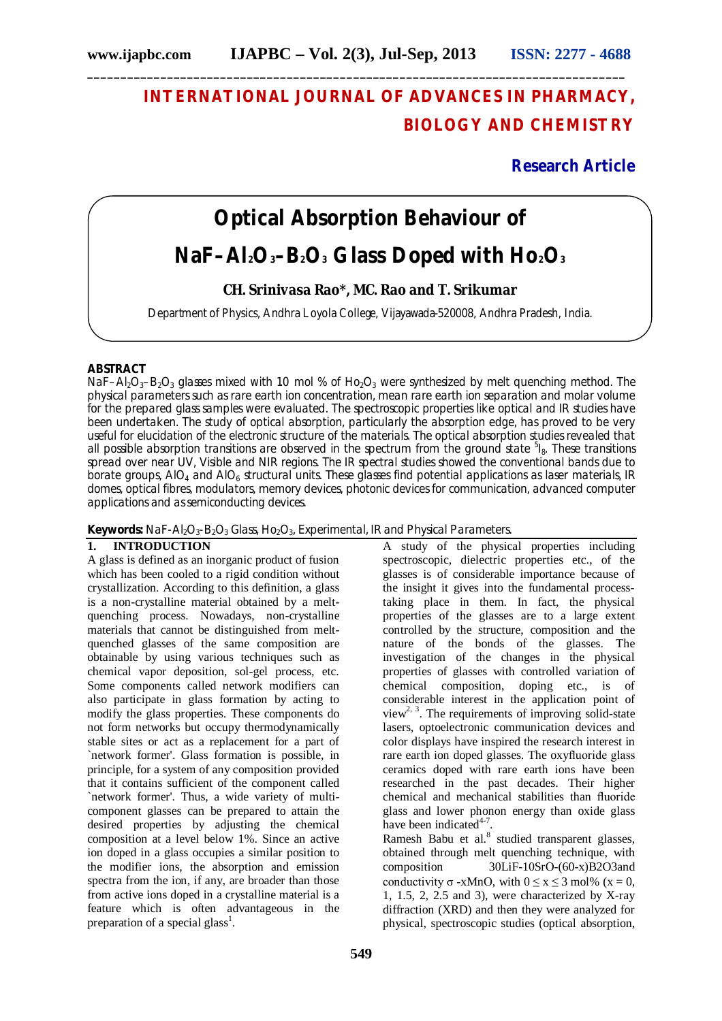# **INTERNATIONAL JOURNAL OF ADVANCES IN PHARMACY, BIOLOGY AND CHEMISTRY**

**Research Article**

# **Optical Absorption Behaviour of**

## **NaF–Al2O3–B2O<sup>3</sup> Glass Doped with Ho2O<sup>3</sup>**

### **CH. Srinivasa Rao\*, MC. Rao and T. Srikumar**

Department of Physics, Andhra Loyola College, Vijayawada-520008, Andhra Pradesh, India.

#### **ABSTRACT**

NaF–Al<sub>2</sub>O<sub>3</sub>–B<sub>2</sub>O<sub>3</sub> glasses mixed with 1.0 mol % of Ho<sub>2</sub>O<sub>3</sub> were synthesized by melt quenching method. The physical parameters such as rare earth ion concentration, mean rare earth ion separation and molar volume for the prepared glass samples were evaluated. The spectroscopic properties like optical and IR studies have been undertaken. The study of optical absorption, particularly the absorption edge, has proved to be very useful for elucidation of the electronic structure of the materials. The optical absorption studies revealed that all possible absorption transitions are observed in the spectrum from the ground state <sup>5</sup>l<sub>8</sub>. These transitions spread over near UV, Visible and NIR regions. The IR spectral studies showed the conventional bands due to borate groups, AIO<sub>4</sub> and AIO<sub>6</sub> structural units. These glasses find potential applications as laser materials, IR domes, optical fibres, modulators, memory devices, photonic devices for communication, advanced computer applications and as semiconducting devices.

#### **Keywords:** NaF-Al<sub>2</sub>O<sub>3</sub>-B<sub>2</sub>O<sub>3</sub> Glass, Ho<sub>2</sub>O<sub>3</sub>, Experimental, IR and Physical Parameters.

### **1. INTRODUCTION**

A glass is defined as an inorganic product of fusion which has been cooled to a rigid condition without crystallization. According to this definition, a glass is a non-crystalline material obtained by a meltquenching process. Nowadays, non-crystalline materials that cannot be distinguished from meltquenched glasses of the same composition are obtainable by using various techniques such as chemical vapor deposition, sol-gel process, etc. Some components called network modifiers can also participate in glass formation by acting to modify the glass properties. These components do not form networks but occupy thermodynamically stable sites or act as a replacement for a part of `network former'. Glass formation is possible, in principle, for a system of any composition provided that it contains sufficient of the component called `network former'. Thus, a wide variety of multicomponent glasses can be prepared to attain the desired properties by adjusting the chemical composition at a level below 1%. Since an active ion doped in a glass occupies a similar position to the modifier ions, the absorption and emission spectra from the ion, if any, are broader than those from active ions doped in a crystalline material is a feature which is often advantageous in the preparation of a special glass<sup>1</sup>.

A study of the physical properties including spectroscopic, dielectric properties etc., of the glasses is of considerable importance because of the insight it gives into the fundamental processtaking place in them. In fact, the physical properties of the glasses are to a large extent controlled by the structure, composition and the nature of the bonds of the glasses. The investigation of the changes in the physical properties of glasses with controlled variation of chemical composition, doping etc., is of considerable interest in the application point of view<sup>2, 3</sup>. The requirements of improving solid-state lasers, optoelectronic communication devices and color displays have inspired the research interest in rare earth ion doped glasses. The oxyfluoride glass ceramics doped with rare earth ions have been researched in the past decades. Their higher chemical and mechanical stabilities than fluoride glass and lower phonon energy than oxide glass have been indicated $4-7$ .

Ramesh Babu et al.<sup>8</sup> studied transparent glasses, obtained through melt quenching technique, with composition 30LiF-10SrO-(60-x)B2O3and conductivity  $\sigma$  -xMnO, with  $0 \le x \le 3$  mol% ( $x = 0$ , 1, 1.5, 2, 2.5 and 3), were characterized by X-ray diffraction (XRD) and then they were analyzed for physical, spectroscopic studies (optical absorption,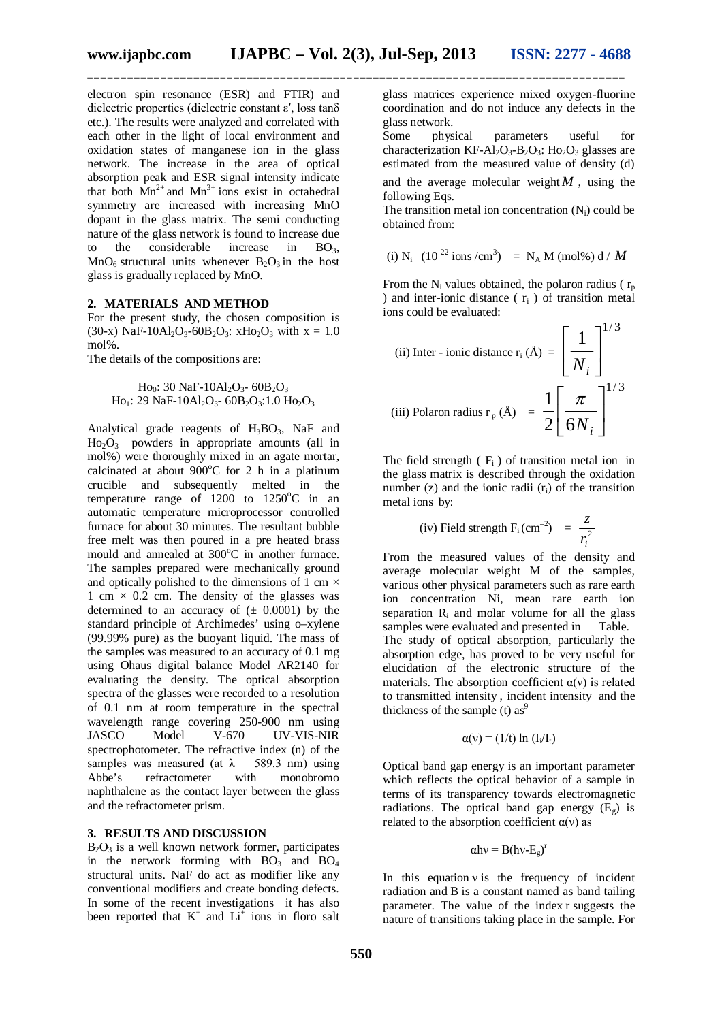**\_\_\_\_\_\_\_\_\_\_\_\_\_\_\_\_\_\_\_\_\_\_\_\_\_\_\_\_\_\_\_\_\_\_\_\_\_\_\_\_\_\_\_\_\_\_\_\_\_\_\_\_\_\_\_\_\_\_\_\_\_\_\_\_\_\_\_\_\_\_\_\_\_\_\_\_\_\_\_\_\_**

electron spin resonance (ESR) and FTIR) and dielectric properties (dielectric constant ε′, loss tanδ etc.). The results were analyzed and correlated with each other in the light of local environment and oxidation states of manganese ion in the glass network. The increase in the area of optical absorption peak and ESR signal intensity indicate that both  $Mn^{2+}$  and  $Mn^{3+}$  ions exist in octahedral symmetry are increased with increasing MnO dopant in the glass matrix. The semi conducting nature of the glass network is found to increase due to the considerable increase in  $BO<sub>3</sub>$ ,  $MnO<sub>6</sub>$  structural units whenever  $B<sub>2</sub>O<sub>3</sub>$  in the host glass is gradually replaced by MnO.

#### **2. MATERIALS AND METHOD**

For the present study, the chosen composition is (30-x) NaF-10Al<sub>2</sub>O<sub>3</sub>-60B<sub>2</sub>O<sub>3</sub>: xH<sub>O2</sub>O<sub>3</sub> with x = 1.0 mol%.

The details of the compositions are:

Ho<sub>0</sub>: 30 NaF-10Al<sub>2</sub>O<sub>3</sub>- 60B<sub>2</sub>O<sub>3</sub>  $Ho_1$ : 29 NaF-10Al<sub>2</sub>O<sub>3</sub>- 60B<sub>2</sub>O<sub>3</sub>: 1.0 Ho<sub>2</sub>O<sub>3</sub>

Analytical grade reagents of  $H_3BO_3$ , NaF and  $Ho<sub>2</sub>O<sub>3</sub>$  powders in appropriate amounts (all in mol%) were thoroughly mixed in an agate mortar, calcinated at about  $900^{\circ}$ C for 2 h in a platinum crucible and subsequently melted in the temperature range of  $1200$  to  $1250^{\circ}$ C in an automatic temperature microprocessor controlled furnace for about 30 minutes. The resultant bubble free melt was then poured in a pre heated brass mould and annealed at  $300^{\circ}$ C in another furnace. The samples prepared were mechanically ground and optically polished to the dimensions of 1 cm  $\times$ 1 cm  $\times$  0.2 cm. The density of the glasses was determined to an accuracy of  $(± 0.0001)$  by the standard principle of Archimedes' using o–xylene (99.99% pure) as the buoyant liquid. The mass of the samples was measured to an accuracy of 0.1 mg using Ohaus digital balance Model AR2140 for evaluating the density. The optical absorption spectra of the glasses were recorded to a resolution of 0.1 nm at room temperature in the spectral wavelength range covering 250-900 nm using<br>JASCO Model V-670 UV-VIS-NIR UV-VIS-NIR spectrophotometer. The refractive index (n) of the samples was measured (at  $\lambda = 589.3$  nm) using Abbe's refractometer with monobromo naphthalene as the contact layer between the glass and the refractometer prism.

#### **3. RESULTS AND DISCUSSION**

 $B_2O_3$  is a well known network former, participates in the network forming with  $BO_3$  and  $BO_4$ structural units. NaF do act as modifier like any conventional modifiers and create bonding defects. In some of the recent investigations it has also been reported that  $K^+$  and  $Li^+$  ions in floro salt glass matrices experience mixed oxygen-fluorine coordination and do not induce any defects in the glass network.

Some physical parameters useful for characterization KF-Al<sub>2</sub>O<sub>3</sub>-B<sub>2</sub>O<sub>3</sub>: H<sub>O2</sub>O<sub>3</sub> glasses are estimated from the measured value of density (d) and the average molecular weight  $\overline{M}$ , using the following Eqs.

The transition metal ion concentration  $(N_i)$  could be obtained from:

(i) N<sub>i</sub> 
$$
(10^{22} \text{ ions/cm}^3) = N_A M \text{ (mol%) d / } M
$$

From the N<sub>i</sub> values obtained, the polaron radius ( $r_p$ ) ) and inter-ionic distance ( $r_i$ ) of transition metal ions could be evaluated:

(ii) Inter - ionic distance 
$$
r_i (\text{\AA}) = \left[ \frac{1}{N_i} \right]^{1/3}
$$
  
(iii) Polaron radius  $r_p (\text{\AA}) = \frac{1}{2} \left[ \frac{\pi}{6N_i} \right]^{1/3}$ 

The field strength  $(F_i)$  of transition metal ion in the glass matrix is described through the oxidation number  $(z)$  and the ionic radii  $(r<sub>i</sub>)$  of the transition metal ions by:

(iv) Field strength F<sub>i</sub> (cm<sup>-2</sup>) = 
$$
\frac{z}{r_i^2}
$$

From the measured values of the density and average molecular weight M of the samples, various other physical parameters such as rare earth ion concentration Ni, mean rare earth ion separation  $R_i$  and molar volume for all the glass samples were evaluated and presented in Table. samples were evaluated and presented in The study of optical absorption, particularly the absorption edge, has proved to be very useful for elucidation of the electronic structure of the materials. The absorption coefficient  $\alpha(v)$  is related to transmitted intensity , incident intensity and the thickness of the sample (t) as<sup>9</sup>

$$
\alpha(v) = (1/t) \ln (I_i/I_t)
$$

Optical band gap energy is an important parameter which reflects the optical behavior of a sample in terms of its transparency towards electromagnetic radiations. The optical band gap energy  $(E_{\alpha})$  is related to the absorption coefficient  $\alpha$ (v) as

$$
\alpha h v = B(hv-E_g)^r
$$

In this equation  $v$  is the frequency of incident radiation and B is a constant named as band tailing parameter. The value of the index r suggests the nature of transitions taking place in the sample. For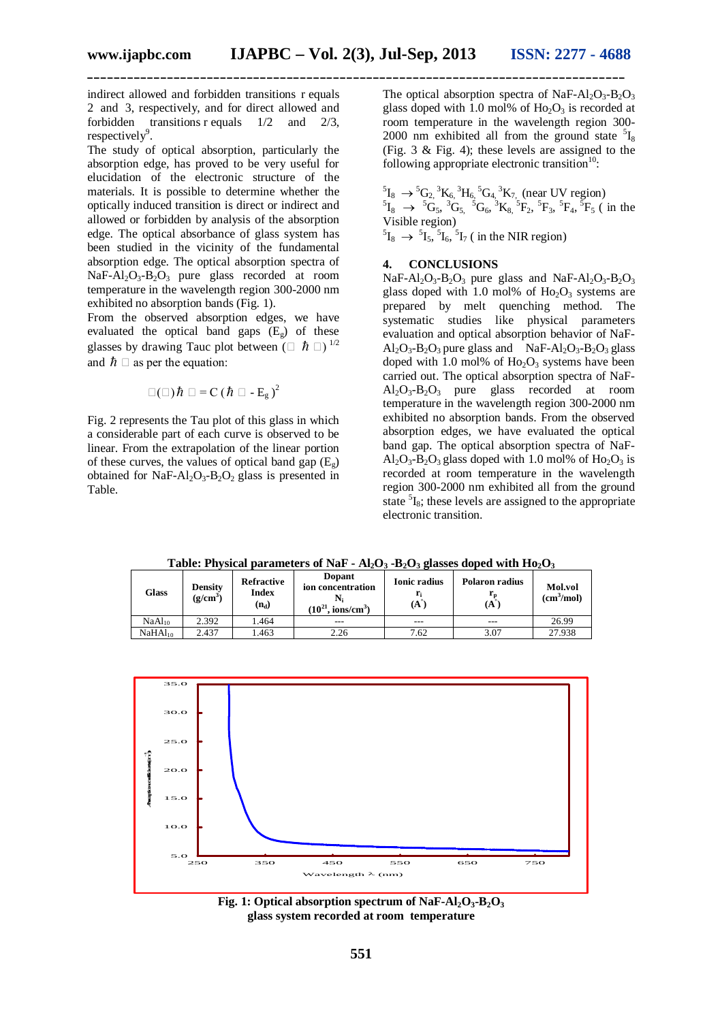**\_\_\_\_\_\_\_\_\_\_\_\_\_\_\_\_\_\_\_\_\_\_\_\_\_\_\_\_\_\_\_\_\_\_\_\_\_\_\_\_\_\_\_\_\_\_\_\_\_\_\_\_\_\_\_\_\_\_\_\_\_\_\_\_\_\_\_\_\_\_\_\_\_\_\_\_\_\_\_\_\_**

indirect allowed and forbidden transitions r equals 2 and 3, respectively, and for direct allowed and forbidden transitions r equals 1/2 and 2/3, respectively<sup>9</sup>.

The study of optical absorption, particularly the absorption edge, has proved to be very useful for elucidation of the electronic structure of the materials. It is possible to determine whether the optically induced transition is direct or indirect and allowed or forbidden by analysis of the absorption edge. The optical absorbance of glass system has been studied in the vicinity of the fundamental absorption edge. The optical absorption spectra of  $NaF-Al_2O_3-B_2O_3$  pure glass recorded at room temperature in the wavelength region 300-2000 nm exhibited no absorption bands (Fig. 1).

From the observed absorption edges, we have evaluated the optical band gaps  $(E_g)$  of these glasses by drawing Tauc plot between ( $\Box$   $\hbar$   $\Box$ )<sup>1/2</sup> and  $\hbar \Box$  as per the equation:

$$
\Box(\Box) \hbar \Box = C (\hbar \Box - E_g)^2
$$

Fig. 2 represents the Tau plot of this glass in which a considerable part of each curve is observed to be linear. From the extrapolation of the linear portion of these curves, the values of optical band gap  $(E_g)$ obtained for NaF-Al<sub>2</sub>O<sub>3</sub>-B<sub>2</sub>O<sub>2</sub> glass is presented in Table.

The optical absorption spectra of NaF- $Al_2O_3-B_2O_3$ glass doped with 1.0 mol% of  $Ho_2O_3$  is recorded at room temperature in the wavelength region 300- 2000 nm exhibited all from the ground state  $5I_8$ (Fig. 3 & Fig. 4); these levels are assigned to the following appropriate electronic transition $10$ :

 ${}^{5}I_{8} \rightarrow {}^{5}G_{2}$ ,  ${}^{3}K_{6}$ ,  ${}^{3}H_{6}$ ,  ${}^{5}G_{4}$ ,  ${}^{3}K_{7}$ , (near UV region)  ${}^{5}I_{8}$   $\rightarrow$   ${}^{5}G_{5}$ ,  ${}^{3}G_{5}$ ,  ${}^{5}G_{6}$ ,  ${}^{3}K_{8}$ ,  ${}^{5}F_{2}$ ,  ${}^{5}F_{3}$ ,  ${}^{5}F_{4}$ ,  ${}^{5}F_{5}$  (in the Visible region)  ${}^{5}I_{8} \rightarrow {}^{5}I_{5}$ ,  ${}^{5}I_{6}$ ,  ${}^{5}I_{7}$  ( in the NIR region)

**4. CONCLUSIONS**

 $NaF-Al<sub>2</sub>O<sub>3</sub>-B<sub>2</sub>O<sub>3</sub>$  pure glass and  $NaF-Al<sub>2</sub>O<sub>3</sub>-B<sub>2</sub>O<sub>3</sub>$ glass doped with 1.0 mol% of  $Ho_2O_3$  systems are prepared by melt quenching method. The systematic studies like physical parameters evaluation and optical absorption behavior of NaF- $Al_2O_3-B_2O_3$  pure glass and  $NaF-Al_2O_3-B_2O_3$  glass doped with 1.0 mol% of  $Ho_2O_3$  systems have been carried out. The optical absorption spectra of NaF-Al2O3-B2O3 pure glass recorded at room temperature in the wavelength region 300-2000 nm exhibited no absorption bands. From the observed absorption edges, we have evaluated the optical band gap. The optical absorption spectra of NaF- $A<sub>1</sub>$ ,  $O<sub>3</sub>$ - $B<sub>2</sub>O<sub>3</sub>$  glass doped with 1.0 mol% of Ho<sub>2</sub>O<sub>3</sub> is recorded at room temperature in the wavelength region 300-2000 nm exhibited all from the ground state  ${}^{5}I_8$ ; these levels are assigned to the appropriate electronic transition.

**Table: Physical parameters of NaF - Al2O<sup>3</sup> -B2O<sup>3</sup> glasses doped with Ho2O<sup>3</sup>**

| Glass              | <b>Density</b><br>$\left($ g/cm <sup>3</sup> | <b>Refractive</b><br>Index<br>$(n_d)$ | <b>Dopant</b><br>ion concentration<br>$(10^{21}$<br>$\sim$ ions/cm <sup>3</sup> ) | <b>Ionic radius</b><br>(A) | <b>Polaron radius</b><br>(A | <b>Mol.vol</b><br>(cm <sup>3</sup> /mol) |
|--------------------|----------------------------------------------|---------------------------------------|-----------------------------------------------------------------------------------|----------------------------|-----------------------------|------------------------------------------|
| NaAl <sub>10</sub> | 2.392                                        | 1.464                                 | ---                                                                               | ---                        | ---                         | 26.99                                    |
| $NaHAl_{10}$       | 2.437                                        | .463                                  | 2.26                                                                              | 7.62                       | 3.07                        | 27.938                                   |



**Fig. 1: Optical absorption spectrum of NaF-Al<sub>2</sub>O<sub>3</sub>-B<sub>2</sub>O<sub>3</sub> glass system recorded at room temperature**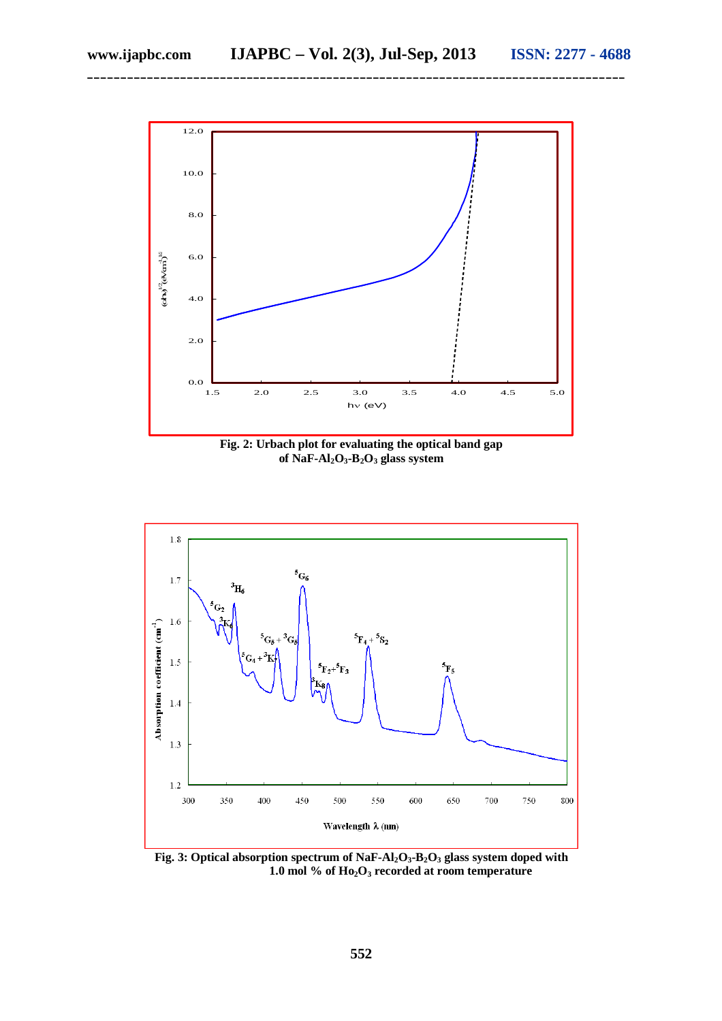

**\_\_\_\_\_\_\_\_\_\_\_\_\_\_\_\_\_\_\_\_\_\_\_\_\_\_\_\_\_\_\_\_\_\_\_\_\_\_\_\_\_\_\_\_\_\_\_\_\_\_\_\_\_\_\_\_\_\_\_\_\_\_\_\_\_\_\_\_\_\_\_\_\_\_\_\_\_\_\_\_\_**

**Fig. 2: Urbach plot for evaluating the optical band gap**  of  $\overrightarrow{NaF-Al_2O_3}$ **·B**<sub>2</sub> $\overrightarrow{O_3}$  **glass system** 



**Fig. 3: Optical absorption spectrum of NaF-Al2O3-B2O<sup>3</sup> glass system doped with 1.0 mol % of Ho2O<sup>3</sup> recorded at room temperature**